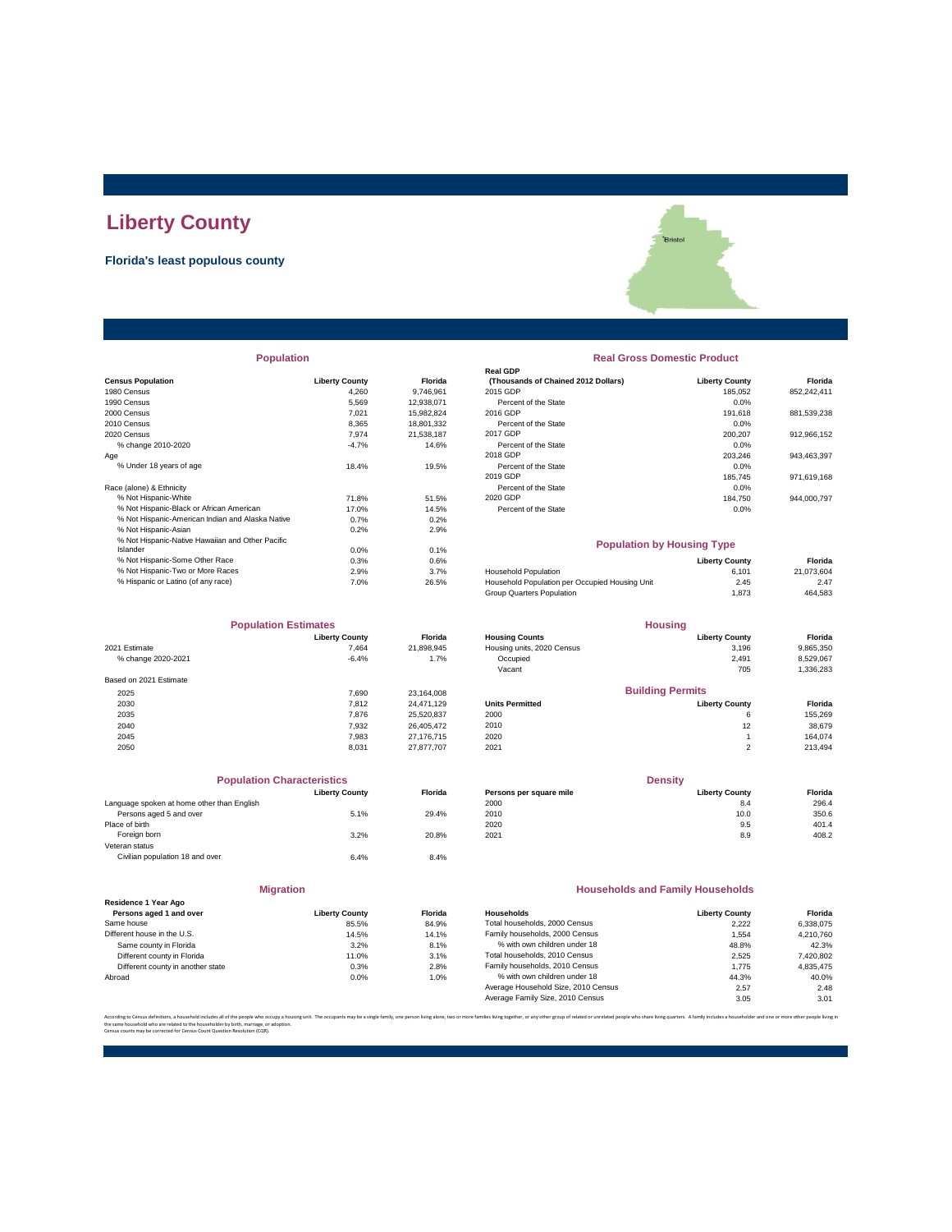# **Liberty County**

## **Florida's least populous county**



|                          |                       |                | <b>Real GDP</b>                     |                       |
|--------------------------|-----------------------|----------------|-------------------------------------|-----------------------|
| <b>Census Population</b> | <b>Liberty County</b> | <b>Florida</b> | (Thousands of Chained 2012 Dollars) | <b>Liberty County</b> |
| 1980 Census              | 4.260                 | 9.746.961      | 2015 GDP                            | 185.052               |
| 1990 Census              | 5.569                 | 12.938.071     | Percent of the State                | 0.0%                  |
| 2000 Census              | 7.021                 | 15.982.824     | 2016 GDP                            | 191,618               |
| 2010 Census              | 8.365                 | 18.801.332     | Percent of the State                | 0.0%                  |
| 2020 Census              | 7.974                 | 21.538.187     | 2017 GDP                            | 200.207               |
| % change 2010-2020       | $-4.7%$               | 14.6%          | Percent of the State                | 0.0%                  |
| Age                      |                       |                | 2018 GDP                            | 203.246               |
| % Under 18 years of age  | 18.4%                 | 19.5%          | Percent of the State                | 0.0%                  |
|                          |                       |                | 2019 GDP                            | 185,745               |
| Race (alone) & Ethnicity |                       |                | Percent of the State                | 0.0%                  |
|                          |                       |                |                                     |                       |

|                                                  |         |               |                                                | -----                 |
|--------------------------------------------------|---------|---------------|------------------------------------------------|-----------------------|
| % Not Hispanic-White                             | 71.8%   | 51.5%         | 2020 GDP                                       | 184.750               |
| % Not Hispanic-Black or African American         | 17.0%   | 14.5%         | Percent of the State                           | 0.0%                  |
| % Not Hispanic-American Indian and Alaska Native | 0.7%    | 0.2%          |                                                |                       |
| % Not Hispanic-Asian                             | 0.2%    | 2.9%          |                                                |                       |
| % Not Hispanic-Native Hawaiian and Other Pacific |         |               | <b>Population by Housing Type</b>              |                       |
| Islander                                         | $0.0\%$ | 0.1%          |                                                |                       |
| % Not Hispanic-Some Other Race                   | 0.3%    | 0.6%          |                                                | <b>Liberty County</b> |
| % Not Hispanic-Two or More Races                 | 2.9%    | 3.7%          | <b>Household Population</b>                    | 6.101                 |
| % Hienanic or Latino (of any race)               | 7 00/   | <b>26 50/</b> | Household Population per Occupied Housing Upit | 2AE                   |

| <b>Population Estimates</b> |                       |                | <b>Housing</b>             |                         |           |
|-----------------------------|-----------------------|----------------|----------------------------|-------------------------|-----------|
|                             | <b>Liberty County</b> | <b>Florida</b> | <b>Housing Counts</b>      | <b>Liberty County</b>   | Florida   |
| 2021 Estimate               | 7.464                 | 21,898,945     | Housing units, 2020 Census | 3,196                   | 9,865,350 |
| % change 2020-2021          | $-6.4%$               | 1.7%           | Occupied                   | 2,491                   | 8,529,067 |
|                             |                       |                | Vacant                     | 705                     | 1,336,283 |
| Based on 2021 Estimate      |                       |                |                            |                         |           |
| 2025                        | 7.690                 | 23,164,008     |                            | <b>Building Permits</b> |           |
| 2030                        | 7.812                 | 24.471.129     | <b>Units Permitted</b>     | <b>Liberty County</b>   | Florida   |
| 2035                        | 7.876                 | 25,520,837     | 2000                       | 6                       | 155,269   |
| 2040                        | 7,932                 | 26.405.472     | 2010                       | 12                      | 38,679    |
| 2045                        | 7.983                 | 27.176.715     | 2020                       |                         | 164.074   |
| 2050                        | 8.031                 | 27.877.707     | 2021                       | 2                       | 213,494   |

| <b>Population Characteristics</b>          |                       |                |
|--------------------------------------------|-----------------------|----------------|
|                                            | <b>Liberty County</b> | <b>Florida</b> |
| Language spoken at home other than English |                       |                |
| Persons aged 5 and over                    | 5.1%                  | 29.4%          |
| Place of birth                             |                       |                |
| Foreign born                               | 3.2%                  | 20.8%          |
| Veteran status                             |                       |                |
| Civilian population 18 and over            | 6.4%                  | 8.4%           |
|                                            |                       |                |
|                                            |                       |                |

| Residence 1 Year Ago              |                       |       |  |  |  |
|-----------------------------------|-----------------------|-------|--|--|--|
| Persons aged 1 and over           | <b>Liberty County</b> | Flori |  |  |  |
| Same house                        | 85.5%                 | 84.9  |  |  |  |
| Different house in the U.S.       | 14.5%                 | 14.1  |  |  |  |
| Same county in Florida            | 3.2%                  | 8.1   |  |  |  |
| Different county in Florida       | 11.0%                 | 3.1   |  |  |  |
| Different county in another state | 0.3%                  | 2.8   |  |  |  |
| Abroad                            | 0.0%                  | 1.0   |  |  |  |

**Migration**

### **Population Real Gross Domestic Product**

|                                                   |                       |            | <b>Real GDP</b>                     |                       |             |  |
|---------------------------------------------------|-----------------------|------------|-------------------------------------|-----------------------|-------------|--|
| <b>Census Population</b>                          | <b>Liberty County</b> | Florida    | (Thousands of Chained 2012 Dollars) | <b>Liberty County</b> | Florida     |  |
| 1980 Census                                       | 4.260                 | 9.746.961  | 2015 GDP                            | 185.052               | 852,242,411 |  |
| 1990 Census                                       | 5.569                 | 12.938.071 | Percent of the State                | 0.0%                  |             |  |
| 2000 Census                                       | 7.021                 | 15.982.824 | 2016 GDP                            | 191.618               | 881.539.238 |  |
| 2010 Census                                       | 8.365                 | 18,801,332 | Percent of the State                | $0.0\%$               |             |  |
| 2020 Census                                       | 7.974                 | 21.538.187 | 2017 GDP                            | 200.207               | 912,966,152 |  |
| % change 2010-2020                                | $-4.7%$               | 14.6%      | Percent of the State                | 0.0%                  |             |  |
| Aae                                               |                       |            | 2018 GDP                            | 203.246               | 943.463.397 |  |
| % Under 18 years of age                           | 18.4%                 | 19.5%      | Percent of the State                | 0.0%                  |             |  |
|                                                   |                       |            | 2019 GDP                            | 185.745               | 971,619,168 |  |
| Race (alone) & Ethnicity                          |                       |            | Percent of the State                | 0.0%                  |             |  |
| % Not Hispanic-White                              | 71.8%                 | 51.5%      | 2020 GDP                            | 184.750               | 944.000.797 |  |
| % Not Hispanic-Black or African American          | 17.0%                 | 14.5%      | Percent of the State                | 0.0%                  |             |  |
| 96 Not Hiepanic American Indian and Algeka Native | 0.701                 | 0.291      |                                     |                       |             |  |

#### **Population by Housing Type**

| 0.3% | 0.6%  |                                                | <b>Liberty County</b> | Florida    |
|------|-------|------------------------------------------------|-----------------------|------------|
| 2.9% | 3.7%  | <b>Household Population</b>                    | 6.101                 | 21.073.604 |
| 7.0% | 26.5% | Household Population per Occupied Housing Unit | 2.45                  | 2.47       |
|      |       | Group Quarters Population                      | .873                  | 464,583    |
|      |       |                                                |                       |            |

| <b>Population Estimates</b> |                       |                | <b>Housing</b>             |                         |           |
|-----------------------------|-----------------------|----------------|----------------------------|-------------------------|-----------|
|                             | <b>Liberty County</b> | <b>Florida</b> | <b>Housing Counts</b>      | <b>Liberty County</b>   | Florida   |
| 2021 Estimate               | 7.464                 | 21.898.945     | Housing units, 2020 Census | 3.196                   | 9,865,350 |
| % change 2020-2021          | $-6.4%$               | 1.7%           | Occupied                   | 2.491                   | 8,529,067 |
|                             |                       |                | Vacant                     | 705                     | 1,336,283 |
| Based on 2021 Estimate      |                       |                |                            |                         |           |
| 2025                        | 7.690                 | 23.164.008     |                            | <b>Building Permits</b> |           |
| 2030                        | 7.812                 | 24.471.129     | <b>Units Permitted</b>     | <b>Liberty County</b>   | Florida   |
| 2035                        | 7.876                 | 25,520,837     | 2000                       | 6                       | 155,269   |
| 2040                        | 7.932                 | 26,405,472     | 2010                       | 12                      | 38,679    |
| 2045                        | 7,983                 | 27.176.715     | 2020                       |                         | 164,074   |
| 2050                        | 9.021                 | 27977707       | 2021                       | $\mathcal{L}$           | 212A0A    |

| <b>Population Characteristics</b>          |                       |                | <b>Density</b>          |                       |         |
|--------------------------------------------|-----------------------|----------------|-------------------------|-----------------------|---------|
|                                            | <b>Liberty County</b> | <b>Florida</b> | Persons per square mile | <b>Liberty County</b> | Florida |
| Language spoken at home other than English |                       |                | 2000                    | 8.4                   | 296.4   |
| Persons aged 5 and over                    | 5.1%                  | 29.4%          | 2010                    | 10.0                  | 350.6   |
| Place of birth                             |                       |                | 2020                    | 9.5                   | 401.4   |
| Foreign born                               | 3.2%                  | 20.8%          | 2021                    | 8.9                   | 408.2   |

#### **Households and Family Households**

| <b>Liberty County</b> | <b>Florida</b> | Households                          | <b>Liberty County</b> | Florida   |
|-----------------------|----------------|-------------------------------------|-----------------------|-----------|
| 85.5%                 | 84.9%          | Total households, 2000 Census       | 2.222                 | 6.338.075 |
| 14.5%                 | 14.1%          | Family households, 2000 Census      | 1.554                 | 4.210.760 |
| 3.2%                  | 8.1%           | % with own children under 18        | 48.8%                 | 42.3%     |
| 11.0%                 | 3.1%           | Total households, 2010 Census       | 2.525                 | 7.420.802 |
| 0.3%                  | 2.8%           | Family households, 2010 Census      | 1.775                 | 4.835.475 |
| $0.0\%$               | 1.0%           | % with own children under 18        | 44.3%                 | 40.0%     |
|                       |                | Average Household Size, 2010 Census | 2.57                  | 2.48      |
|                       |                | Average Family Size, 2010 Census    | 3.05                  | 3.01      |
|                       |                |                                     |                       |           |

ore families living together, or any other group of related or unrelated people who share living quarters. A family includes a householder and one or more other per the same household who are related to the householder by birth, marriage, or adoption. Census counts may be corrected for Census Count Question Resolution (CQR).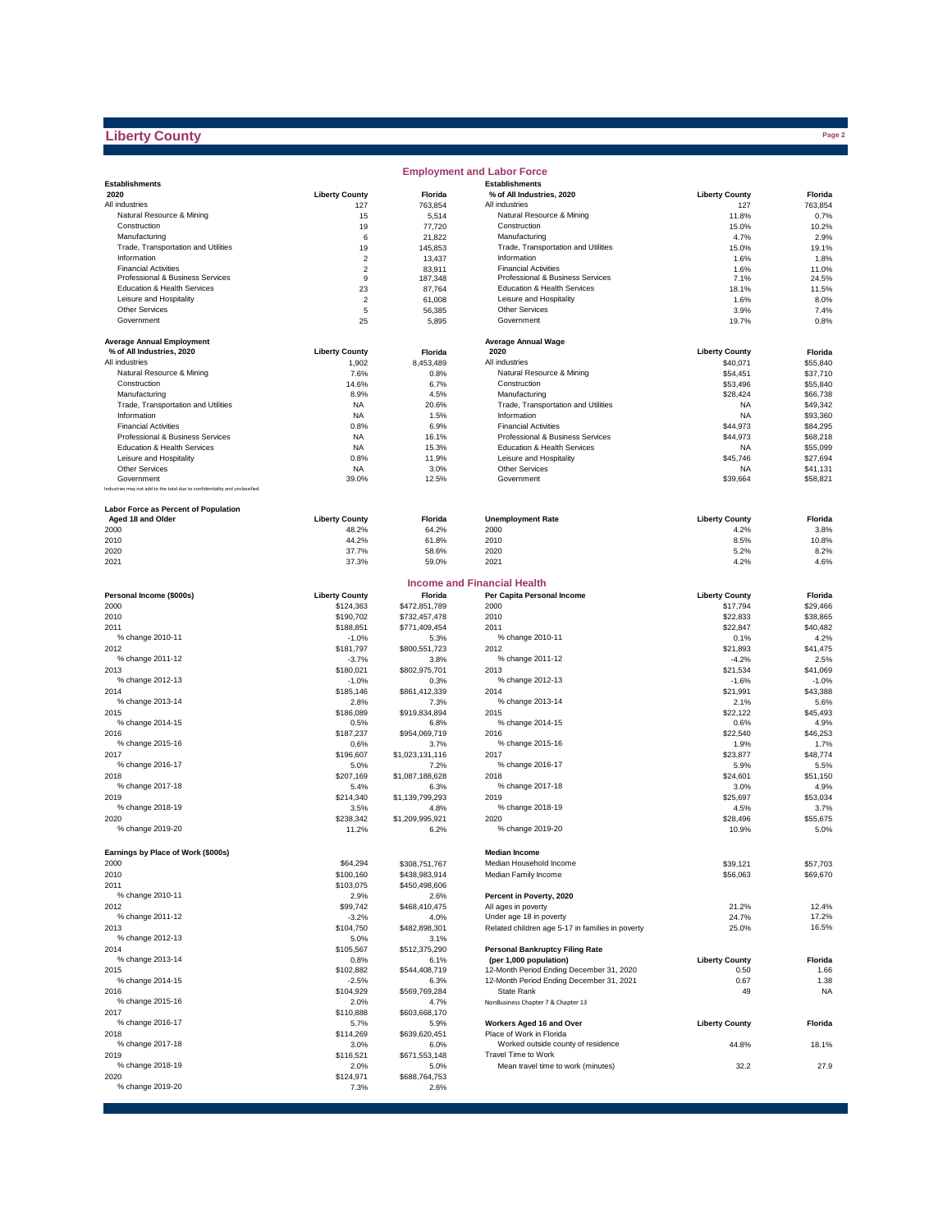# **Liberty County**

|                                                                              |                       |                       | <b>Employment and Labor Force</b>                |                       |              |
|------------------------------------------------------------------------------|-----------------------|-----------------------|--------------------------------------------------|-----------------------|--------------|
| <b>Establishments</b>                                                        |                       |                       | <b>Establishments</b>                            |                       |              |
| 2020                                                                         | <b>Liberty County</b> | Florida               | % of All Industries, 2020                        | <b>Liberty County</b> | Florida      |
| All industries                                                               | 127                   | 763,854               | All industries                                   | 127                   | 763,854      |
| Natural Resource & Mining                                                    | 15                    | 5,514                 | Natural Resource & Mining                        | 11.8%                 | 0.7%         |
| Construction                                                                 | 19                    | 77,720                | Construction                                     | 15.0%                 | 10.2%        |
| Manufacturing                                                                | 6                     | 21,822                | Manufacturing                                    | 4.7%                  | 2.9%         |
| Trade, Transportation and Utilities                                          | 19                    | 145,853               | Trade, Transportation and Utilities              | 15.0%                 | 19.1%        |
| Information                                                                  | $\overline{2}$        | 13,437                | Information                                      | 1.6%                  | 1.8%         |
| <b>Financial Activities</b>                                                  | $\overline{c}$        | 83,911                | <b>Financial Activities</b>                      | 1.6%                  | 11.0%        |
| Professional & Business Services                                             | 9                     | 187,348               | Professional & Business Services                 | 7.1%                  | 24.5%        |
| Education & Health Services                                                  | 23                    | 87,764                | Education & Health Services                      | 18.1%                 | 11.5%        |
| Leisure and Hospitality<br>Other Services                                    | $\overline{2}$        | 61,008                | Leisure and Hospitality<br>Other Services        | 1.6%                  | 8.0%         |
| Government                                                                   | 5<br>25               | 56,385<br>5,895       | Government                                       | 3.9%<br>19.7%         | 7.4%<br>0.8% |
|                                                                              |                       |                       |                                                  |                       |              |
| <b>Average Annual Employment</b>                                             |                       |                       | <b>Average Annual Wage</b>                       |                       |              |
| % of All Industries, 2020                                                    | <b>Liberty County</b> | Florida               | 2020                                             | <b>Liberty County</b> | Florida      |
| All industries                                                               | 1,902                 | 8,453,489             | All industries                                   | \$40,071              | \$55,840     |
| Natural Resource & Mining                                                    | 7.6%                  | 0.8%                  | Natural Resource & Mining                        | \$54,451              | \$37,710     |
| Construction                                                                 | 14.6%                 | 6.7%                  | Construction                                     | \$53,496              | \$55,840     |
| Manufacturing                                                                | 8.9%                  | 4.5%                  | Manufacturing                                    | \$28,424              | \$66,738     |
| Trade, Transportation and Utilities                                          | <b>NA</b>             | 20.6%                 | Trade, Transportation and Utilities              | <b>NA</b>             | \$49,342     |
| Information                                                                  | <b>NA</b>             | 1.5%                  | Information                                      | <b>NA</b>             | \$93,360     |
| <b>Financial Activities</b>                                                  | 0.8%                  | 6.9%                  | <b>Financial Activities</b>                      | \$44,973              | \$84,295     |
| Professional & Business Services                                             | <b>NA</b>             | 16.1%                 | Professional & Business Services                 | \$44,973              | \$68,218     |
| Education & Health Services                                                  | <b>NA</b>             | 15.3%                 | Education & Health Services                      | <b>NA</b>             | \$55,099     |
| Leisure and Hospitality                                                      | 0.8%                  | 11.9%                 | Leisure and Hospitality                          | \$45,746              | \$27,694     |
| Other Services                                                               | NA                    | 3.0%                  | Other Services                                   | <b>NA</b>             | \$41,131     |
| Government                                                                   | 39.0%                 | 12.5%                 | Government                                       | \$39,664              | \$58,821     |
| Industries may not add to the total due to confidentiality and unclassified. |                       |                       |                                                  |                       |              |
| Labor Force as Percent of Population                                         |                       |                       |                                                  |                       |              |
| Aged 18 and Older                                                            | <b>Liberty County</b> | Florida               | <b>Unemployment Rate</b>                         | <b>Liberty County</b> | Florida      |
| 2000                                                                         | 48.2%                 | 64.2%                 | 2000                                             | 4.2%                  | 3.8%         |
| 2010                                                                         | 44.2%                 | 61.8%                 | 2010                                             | 8.5%                  | 10.8%        |
| 2020                                                                         | 37.7%                 | 58.6%                 | 2020                                             | 5.2%                  | 8.2%         |
| 2021                                                                         | 37.3%                 | 59.0%                 | 2021                                             | 4.2%                  | 4.6%         |
|                                                                              |                       |                       |                                                  |                       |              |
|                                                                              |                       |                       | <b>Income and Financial Health</b>               |                       |              |
| Personal Income (\$000s)                                                     | <b>Liberty County</b> | Florida               | Per Capita Personal Income                       | <b>Liberty County</b> | Florida      |
| 2000                                                                         | \$124,363             | \$472,851,789         | 2000                                             | \$17,794              | \$29,466     |
| 2010                                                                         | \$190,702             | \$732,457,478         | 2010                                             | \$22,833              | \$38,865     |
| 2011                                                                         | \$188,851             | \$771,409,454         | 2011                                             | \$22,847              | \$40,482     |
| % change 2010-11                                                             | $-1.0%$               | 5.3%                  | % change 2010-11                                 | 0.1%                  | 4.2%         |
| 2012                                                                         | \$181,797             | \$800,551,723         | 2012                                             | \$21,893              | \$41,475     |
| % change 2011-12                                                             | $-3.7%$               | 3.8%                  | % change 2011-12                                 | $-4.2%$               | 2.5%         |
| 2013                                                                         | \$180,021             | \$802,975,701         | 2013                                             | \$21,534              | \$41,069     |
| % change 2012-13                                                             | $-1.0%$               | 0.3%                  | % change 2012-13                                 | $-1.6%$               | $-1.0%$      |
| 2014                                                                         | \$185,146             | \$861,412,339         | 2014                                             | \$21,991              | \$43,388     |
| % change 2013-14                                                             | 2.8%                  | 7.3%                  | % change 2013-14                                 | 2.1%                  | 5.6%         |
| 2015                                                                         | \$186,089             | \$919,834,894         | 2015                                             | \$22,122              | \$45,493     |
| % change 2014-15                                                             | 0.5%                  | 6.8%                  | % change 2014-15                                 | 0.6%                  | 4.9%         |
| 2016                                                                         | \$187,237             | \$954,069,719         | 2016                                             | \$22,540              | \$46,253     |
| % change 2015-16                                                             | 0.6%                  | 3.7%                  | % change 2015-16                                 | 1.9%                  | 1.7%         |
| 2017                                                                         | \$196,607             | \$1,023,131,116       | 2017                                             | \$23,877              | \$48,774     |
| % change 2016-17                                                             | 5.0%                  | 7.2%                  | % change 2016-17                                 | 5.9%                  | 5.5%         |
| 2018                                                                         | \$207,169             | \$1,087,188,628       | 2018                                             | \$24,601              | \$51,150     |
| % change 2017-18                                                             | 5.4%                  | 6.3%                  | % change 2017-18                                 | 3.0%                  | 4.9%         |
| 2019                                                                         | \$214,340             | \$1,139,799,293       | 2019                                             | \$25,697              | \$53,034     |
| % change 2018-19                                                             | 3.5%                  | 4.8%                  | % change 2018-19                                 | 4.5%                  | 3.7%         |
| 2020                                                                         | \$238,342             | \$1,209,995,921       | 2020                                             | \$28,496              | \$55,675     |
| % change 2019-20                                                             | 11.2%                 | 6.2%                  | % change 2019-20                                 | 10.9%                 | 5.0%         |
|                                                                              |                       |                       |                                                  |                       |              |
| Earnings by Place of Work (\$000s)                                           |                       |                       | <b>Median Income</b>                             |                       |              |
| 2000                                                                         | \$64,294              | \$308,751,767         | Median Household Income                          | \$39,121              | \$57,703     |
| 2010                                                                         | \$100,160             | \$438,983,914         | Median Family Income                             | \$56,063              | \$69,670     |
| 2011                                                                         | \$103,075             | \$450,498,606         |                                                  |                       |              |
| % change 2010-11                                                             | 2.9%                  | 2.6%                  | Percent in Poverty, 2020                         |                       |              |
| 2012                                                                         | \$99,742              | \$468,410,475         | All ages in poverty                              | 21.2%                 | 12.4%        |
| % change 2011-12                                                             | $-3.2%$               | 4.0%                  | Under age 18 in poverty                          | 24.7%                 | 17.2%        |
| 2013<br>% change 2012-13                                                     | \$104,750             | \$482,898,301         | Related children age 5-17 in families in poverty | 25.0%                 | 16.5%        |
| 2014                                                                         | 5.0%<br>\$105,567     | 3.1%<br>\$512,375,290 | <b>Personal Bankruptcy Filing Rate</b>           |                       |              |
| % change 2013-14                                                             | 0.8%                  | 6.1%                  | (per 1,000 population)                           | <b>Liberty County</b> | Florida      |
| 2015                                                                         | \$102,882             | \$544,408,719         | 12-Month Period Ending December 31, 2020         | 0.50                  | 1.66         |
| % change 2014-15                                                             | $-2.5%$               | 6.3%                  | 12-Month Period Ending December 31, 2021         | 0.67                  | 1.38         |
| 2016                                                                         | \$104,929             | \$569,769,284         | State Rank                                       | 49                    | <b>NA</b>    |
| % change 2015-16                                                             | 2.0%                  | 4.7%                  | NonBusiness Chapter 7 & Chapter 13               |                       |              |
| 2017                                                                         | \$110,888             | \$603,668,170         |                                                  |                       |              |
| % change 2016-17                                                             | 5.7%                  | 5.9%                  | Workers Aged 16 and Over                         | <b>Liberty County</b> | Florida      |
| 2018                                                                         | \$114,269             | \$639,620,451         | Place of Work in Florida                         |                       |              |
| % change 2017-18                                                             | 3.0%                  | 6.0%                  | Worked outside county of residence               | 44.8%                 | 18.1%        |
| 2019                                                                         | \$116,521             | \$671,553,148         | Travel Time to Work                              |                       |              |
| % change 2018-19                                                             | 2.0%                  | 5.0%                  | Mean travel time to work (minutes)               | 32.2                  | 27.9         |
| 2020                                                                         | \$124,971             | \$688,764,753         |                                                  |                       |              |
| % change 2019-20                                                             | 7.3%                  | 2.6%                  |                                                  |                       |              |